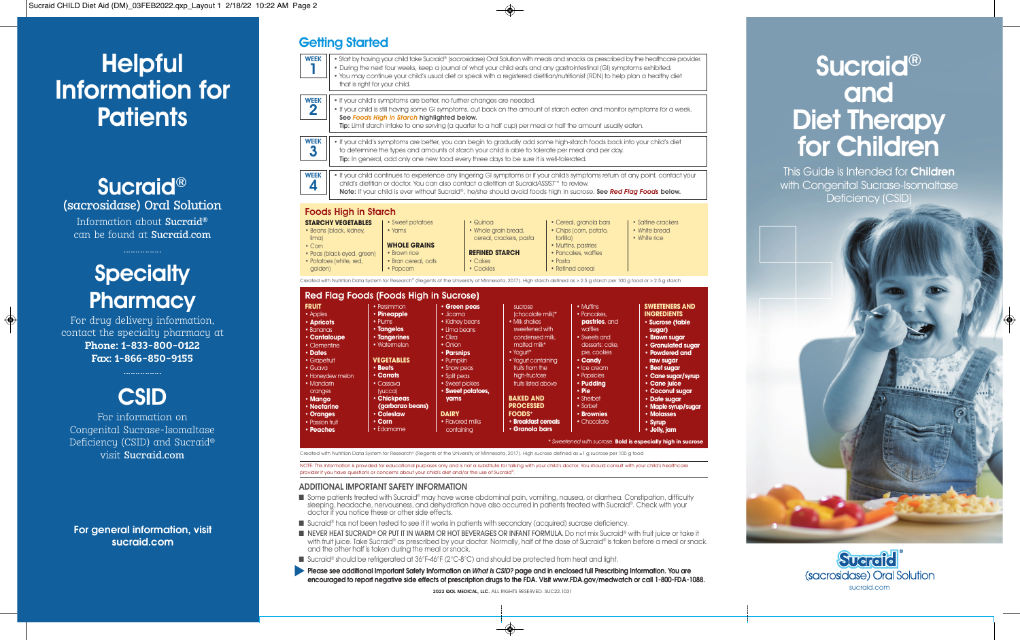# Helpful Information for **Patients**

Sucraid® (sacrosidase) Oral Solution Information about Sucraid® can be found at Sucraid.com

# **Specialty Pharmacy**

For drug delivery information, contact the specialty pharmacy at **Phone: 1-833-800-0122 Fax: 1-866-850-9155** 



Congenital Sucrase-Isomaltase Deficiency (CSID) and Sucraid® visit Sucraid.com

**For general information, visit sucraid.com**

# **Getting Started**

- Start by having your child take Sucraid® (sacrosidase) Oral Solution with meals and snacks as prescribed by the healthcare provider. • During the next four weeks, keep a journal of what your child eats and any gastrointestinal (GI) symptoms exhibited. WEEK 1
	- You may continue your child's usual diet or speak with a registered dietitian/nutritionist (RDN) to help plan a healthy diet that is right for your child.
- If your child's symptoms are better, no further changes are needed. WEEK
- If your child is still having some GI symptoms, cut back on the amount of starch eaten and monitor symptoms for a week. See *Foods High in Starch* highlighted below. 2

Tip: Limit starch intake to one serving (a quarter to a half cup) per meal or half the amount usually eaten.

- If your child's symptoms are better, you can begin to gradually add some high-starch foods back into your child's diet WEEK
- to determine the types and amounts of starch your child is able to tolerate per meal and per day. Tip: In general, add only one new food every three days to be sure it is well-tolerated. 3
- 
- If your child continues to experience any lingering GI symptoms or if your child's symptoms return at any point, contact your child's dietitian or doctor. You can also contact a dietitian at Sucraid*ASSIST*™ to review. WEEK 4
	- Note: If your child is ever without Sucraid®, he/she should avoid foods high in sucrose. See *Red Flag Foods* below.

### Foods High in Starch



## Red Flag Foods (Foods High in Sucrose)

| <b>FRUIT</b>      | • Persimmon         | · Green peas      | sucrose             | • Muffins       | <b>SWEETENERS AND</b> |
|-------------------|---------------------|-------------------|---------------------|-----------------|-----------------------|
| • Apples          | • Pineapple         | · Jicama          | (chocolate milk)*   | • Pancakes,     | <b>INGREDIENTS</b>    |
| • Apricots        | • Plums             | • Kidney beans    | • Milk shakes       | pastries, and   | · Sucrose (table      |
| $\bullet$ Bananas | • Tangelos          | • Lima beans      | sweetened with      | waffles         | sugar)                |
| • Cantaloupe      | <b>· Tangerines</b> | $\bullet$ Okra    | condensed milk.     | • Sweets and    | • Brown sugar         |
| • Clementine      | • Watermelon        | $\bullet$ Onion   | malted milk*        | desserts: cake, | • Granulated sugar    |
| • Dates           |                     | • Parsnips        | $\cdot$ Yogurt*     | pie, cookies    | • Powdered and        |
| • Grapefruit      | <b>VEGETABLES</b>   | • Pumpkin         | • Yogurt containing | $\cdot$ Candy   | raw sugar             |
| $\cdot$ Guava     | • Beets             | • Snow peas       | fruits from the     | • Ice cream     | · Beet sugar          |
| • Honevdew melon  | • Carrots           | • Split peas      | high-fructose       | • Popsicles     | • Cane sugar/syrup    |
| • Mandarin        | • Cassava           | • Sweet pickles   | fruits listed above | • Puddina       | • Cane juice          |
| oranges           | (yucca)             | · Sweet potatoes, |                     | • Pie           | • Coconut sugar       |
| • Manao           | · Chickpeas         | yams              | <b>BAKED AND</b>    | • Sherbet       | • Date sugar          |
| • Nectarine       | (garbanzo beans)    |                   | <b>PROCESSED</b>    | • Sorbet        | · Maple syrup/sugar   |
| • Oranges         | • Colesiaw          | <b>DAIRY</b>      | <b>FOODS*</b>       | • Brownies      | • Molasses            |
| • Passion fruit   | $\cdot$ Corn        | • Flavored milks  | · Breakfast cereals | • Chocolate     | • Syrup               |
| • Peaches         | • Edamame           | containina        | • Granola bars      |                 | • Jelly, jam          |

*A* **with sucrose. <b>Bold is especially high in suc** 

Created with Nutrition Data System for Research© (Regents of the University of Minnesota, 2017). High sucrose defined as ≥1 g sucrose per 100 g food

NOTE: This information is provided for educational purposes only and is not a substitute for talking with your child's doctor. You should consult with your child's healthcare provider if you have questions or concerns about your child's diet and/or the use of Sucraid®.

### **ADDITIONAL IMPORTANT SAFETY INFORMATION**

- Some patients treated with Sucraid® may have worse abdominal pain, vomiting, nausea, or diarrhea. Constipation, difficulty sleeping, headache, nervousness, and dehydration have also occurred in patients treated with Sucraid®. Check with your doctor if you notice these or other side effects.
- Sucraid® has not been tested to see if it works in patients with secondary (acquired) sucrase deficiency.
- NEVER HEAT SUCRAID® OR PUT IT IN WARM OR HOT BEVERAGES OR INFANT FORMULA. Do not mix Sucraid® with fruit juice or take it with fruit juice. Take Sucraid® as prescribed by your doctor. Normally, half of the dose of Sucraid® is taken before a meal or snack. and the other half is taken during the meal or snack.
- Sucraid® should be refrigerated at 36°F-46°F (2°C-8°C) and should be protected from heat and light.
- Please see additional Important Safety Information on *What Is CSID?* page and in enclosed full Prescribing Information. You are **encouraged to report negative side effects of prescription drugs to the FDA. Visit www.FDA.gov/medwatch or call 1-800-FDA-1088.**

2022 QOL MEDICAL, LLC. ALL RIGHTS RESERVED. SUC22.1031

# Sucraid® and Diet Therapy for Children

This Guide is Intended for **Children** with Congenital Sucrase-Isomaltase Deficiency (CSID)